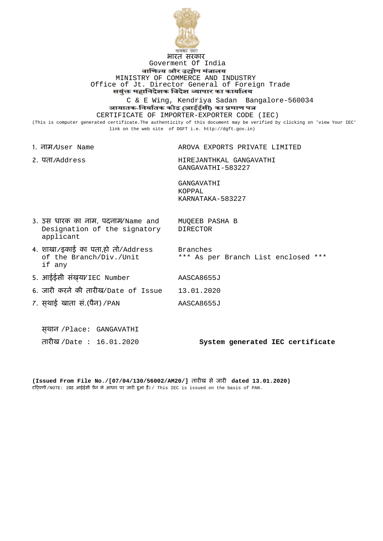

## भारत सरकार Goverment Of India

वाणिज्य और उद्योग मंत्रालय MINISTRY OF COMMERCE AND INDUSTRY Office of Jt. Director General of Foreign Trade<br>सयुक्त महानिदेशक विदेश व्यापार का कार्यालय

C & E Wing, Kendriya Sadan Bangalore-560034 आयातक-निर्यातक कोड (आईईसी) का प्रमाण पत्र

CERTIFICATE OF IMPORTER-EXPORTER CODE (IEC)

(This is computer generated certificate.The authenticity of this document may be verified by clicking on 'view Your IEC' link on the web site of DGFT i.e. http://dgft.gov.in)

| 1. ਗਰਮ/User Name                                                                           | AROVA EXPORTS PRIVATE LIMITED                          |
|--------------------------------------------------------------------------------------------|--------------------------------------------------------|
| 2. पता/Address                                                                             | HIREJANTHKAL GANGAVATHI<br>GANGAVATHI-583227           |
|                                                                                            | GANGAVATHI<br>KOPPAL<br>KARNATAKA-583227               |
| 3. <del>उ</del> स धारक का नाम, पदनाम/Name and<br>Designation of the signatory<br>applicant | MUOEEB PASHA B<br><b>DIRECTOR</b>                      |
| 4. शाखा/इकाई का पता,हो तो/Address<br>of the Branch/Div./Unit<br>if any                     | <b>Branches</b><br>*** As per Branch List enclosed *** |
| 5. आईईसी संख़या/IEC Number                                                                 | AASCA8655J                                             |
| 6. जारी करने की तारीख/Date of Issue                                                        | 13.01.2020                                             |
| 7. सथाई खाता सं.(पैन) / PAN                                                                | AASCA8655J                                             |
| स्थान /Place: GANGAVATHI<br>तारीख /Date : 16.01.2020                                       | System generated IEC certificate                       |
|                                                                                            |                                                        |

**(Issued From File No./[07/04/130/56002/AM20/]** तारीख से जारी **dated 13.01.2020)** टिप्पणी/NOTE: 1.यह आईईसी पैन के आधार पर जारी हुआ है। / This IEC is issued on the basis of PAN.